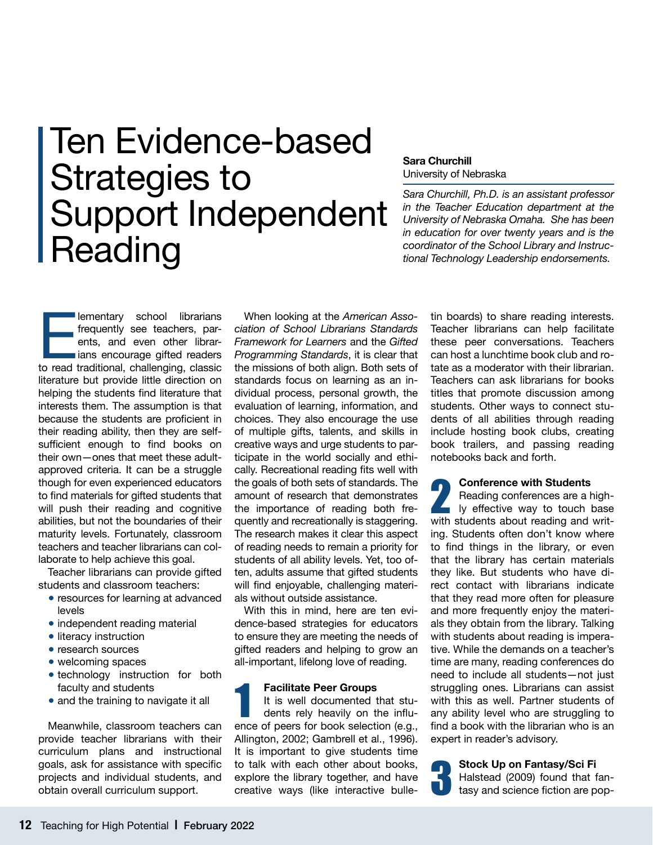# Ten Evidence-based Strategies to Support Independent **Reading**

#### **Sara Churchill** University of Nebraska

*Sara Churchill, Ph.D. is an assistant professor in the Teacher Education department at the University of Nebraska Omaha. She has been in education for over twenty years and is the coordinator of the School Library and Instructional Technology Leadership endorsements.*

lementary school librarians<br>
frequently see teachers, par-<br>
ents, and even other librar-<br>
ians encourage gifted readers<br>
to read traditional, challenging, classic frequently see teachers, parents, and even other librarians encourage gifted readers literature but provide little direction on helping the students find literature that interests them. The assumption is that because the students are proficient in their reading ability, then they are selfsufficient enough to find books on their own—ones that meet these adultapproved criteria. It can be a struggle though for even experienced educators to find materials for gifted students that will push their reading and cognitive abilities, but not the boundaries of their maturity levels. Fortunately, classroom teachers and teacher librarians can collaborate to help achieve this goal.

Teacher librarians can provide gifted students and classroom teachers:

- resources for learning at advanced levels
- independent reading material
- literacy instruction
- research sources
- welcoming spaces
- technology instruction for both faculty and students
- and the training to navigate it all

Meanwhile, classroom teachers can provide teacher librarians with their curriculum plans and instructional goals, ask for assistance with specific projects and individual students, and obtain overall curriculum support.

When looking at the *American Association of School Librarians Standards Framework for Learners* and the *Gifted Programming Standards*, it is clear that the missions of both align. Both sets of standards focus on learning as an individual process, personal growth, the evaluation of learning, information, and choices. They also encourage the use of multiple gifts, talents, and skills in creative ways and urge students to participate in the world socially and ethically. Recreational reading fits well with the goals of both sets of standards. The amount of research that demonstrates the importance of reading both frequently and recreationally is staggering. The research makes it clear this aspect of reading needs to remain a priority for students of all ability levels. Yet, too often, adults assume that gifted students will find enjoyable, challenging materials without outside assistance.

With this in mind, here are ten evidence-based strategies for educators to ensure they are meeting the needs of gifted readers and helping to grow an all-important, lifelong love of reading.

## **Facilitate Peer Groups**

It is well documented that students rely heavily on the influ-Facilitate Peer Groups<br>
It is well documented that stu-<br>
dents rely heavily on the influ-<br>
ence of peers for book selection (e.g., Allington, 2002; Gambrell et al., 1996). It is important to give students time to talk with each other about books, explore the library together, and have creative ways (like interactive bulletin boards) to share reading interests. Teacher librarians can help facilitate these peer conversations. Teachers can host a lunchtime book club and rotate as a moderator with their librarian. Teachers can ask librarians for books titles that promote discussion among students. Other ways to connect students of all abilities through reading include hosting book clubs, creating book trailers, and passing reading notebooks back and forth.

#### **Conference with Students**

Reading conferences are a high-**2** Conference with Students<br>
Reading conferences are a high-<br>
ly effective way to touch base<br>
with students about reading and writwith students about reading and writing. Students often don't know where to find things in the library, or even that the library has certain materials they like. But students who have direct contact with librarians indicate that they read more often for pleasure and more frequently enjoy the materials they obtain from the library. Talking with students about reading is imperative. While the demands on a teacher's time are many, reading conferences do need to include all students—not just struggling ones. Librarians can assist with this as well. Partner students of any ability level who are struggling to find a book with the librarian who is an expert in reader's advisory.

**Stock Up on Fantasy/Sci Fi** Halstead (2009) found that fantasy and science fiction are pop-3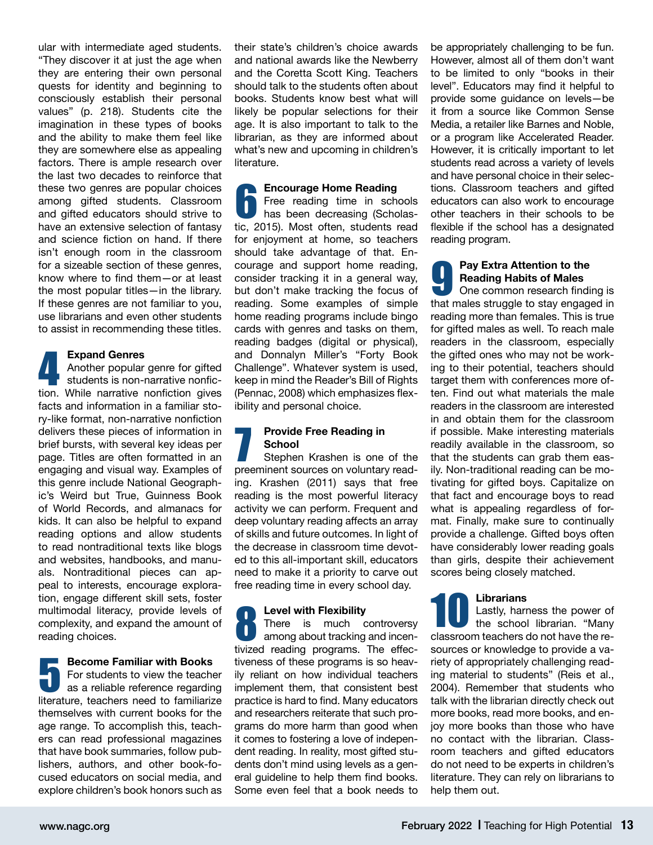ular with intermediate aged students. "They discover it at just the age when they are entering their own personal quests for identity and beginning to consciously establish their personal values" (p. 218). Students cite the imagination in these types of books and the ability to make them feel like they are somewhere else as appealing factors. There is ample research over the last two decades to reinforce that these two genres are popular choices among gifted students. Classroom and gifted educators should strive to have an extensive selection of fantasy and science fiction on hand. If there isn't enough room in the classroom for a sizeable section of these genres, know where to find them—or at least the most popular titles—in the library. If these genres are not familiar to you, use librarians and even other students to assist in recommending these titles.

#### **Expand Genres**

Another popular genre for gifted students is non-narrative nonfic-Expand Genres<br>
Another popular genre for gifted<br>
students is non-narrative nonfic-<br>
tion. While narrative nonfiction gives facts and information in a familiar story-like format, non-narrative nonfiction delivers these pieces of information in brief bursts, with several key ideas per page. Titles are often formatted in an engaging and visual way. Examples of this genre include National Geographic's Weird but True, Guinness Book of World Records, and almanacs for kids. It can also be helpful to expand reading options and allow students to read nontraditional texts like blogs and websites, handbooks, and manuals. Nontraditional pieces can appeal to interests, encourage exploration, engage different skill sets, foster multimodal literacy, provide levels of complexity, and expand the amount of reading choices.

**Become Familiar with Books** For students to view the teacher as a reliable reference regarding Become Familiar with Books<br>For students to view the teacher<br>as a reliable reference regarding<br>literature, teachers need to familiarize themselves with current books for the age range. To accomplish this, teachers can read professional magazines that have book summaries, follow publishers, authors, and other book-focused educators on social media, and explore children's book honors such as

their state's children's choice awards and national awards like the Newberry and the Coretta Scott King. Teachers should talk to the students often about books. Students know best what will likely be popular selections for their age. It is also important to talk to the librarian, as they are informed about what's new and upcoming in children's literature.

## **Encourage Home Reading**

Free reading time in schools has been decreasing (Scholas-**Encourage Home Reading**<br>
Free reading time in schools<br>
has been decreasing (Scholas-<br>
tic, 2015). Most often, students read for enjoyment at home, so teachers should take advantage of that. Encourage and support home reading, consider tracking it in a general way, but don't make tracking the focus of reading. Some examples of simple home reading programs include bingo cards with genres and tasks on them, reading badges (digital or physical), and Donnalyn Miller's "Forty Book Challenge". Whatever system is used, keep in mind the Reader's Bill of Rights (Pennac, 2008) which emphasizes flexibility and personal choice.

#### **Provide Free Reading in School**

Stephen Krashen is one of the **Provide Free Reading in<br>
School**<br>
Stephen Krashen is one of the<br>
preeminent sources on voluntary reading. Krashen (2011) says that free reading is the most powerful literacy activity we can perform. Frequent and deep voluntary reading affects an array of skills and future outcomes. In light of the decrease in classroom time devoted to this all-important skill, educators need to make it a priority to carve out free reading time in every school day.

#### **Level with Flexibility**

There is much controversy among about tracking and incen-**Eevel with Flexibility**<br>There is much controversy<br>among about tracking and incen-<br>tivized reading programs. The effectiveness of these programs is so heavily reliant on how individual teachers implement them, that consistent best practice is hard to find. Many educators and researchers reiterate that such programs do more harm than good when it comes to fostering a love of independent reading. In reality, most gifted students don't mind using levels as a general guideline to help them find books. Some even feel that a book needs to

be appropriately challenging to be fun. However, almost all of them don't want to be limited to only "books in their level". Educators may find it helpful to provide some guidance on levels—be it from a source like Common Sense Media, a retailer like Barnes and Noble, or a program like Accelerated Reader. However, it is critically important to let students read across a variety of levels and have personal choice in their selections. Classroom teachers and gifted educators can also work to encourage other teachers in their schools to be flexible if the school has a designated reading program.

### **Pay Extra Attention to the Reading Habits of Males** One common research finding is Pay Extra Attention to the<br>
Reading Habits of Males<br>
One common research finding is<br>
that males struggle to stay engaged in reading more than females. This is true for gifted males as well. To reach male readers in the classroom, especially the gifted ones who may not be working to their potential, teachers should target them with conferences more often. Find out what materials the male readers in the classroom are interested in and obtain them for the classroom if possible. Make interesting materials readily available in the classroom, so that the students can grab them easily. Non-traditional reading can be motivating for gifted boys. Capitalize on that fact and encourage boys to read what is appealing regardless of format. Finally, make sure to continually provide a challenge. Gifted boys often have considerably lower reading goals than girls, despite their achievement

#### **Librarians**

scores being closely matched.

Lastly, harness the power of the school librarian. "Many Librarians<br>Lastly, harness the power of<br>the school librarian. "Many<br>classroom teachers do not have the resources or knowledge to provide a variety of appropriately challenging reading material to students" (Reis et al., 2004). Remember that students who talk with the librarian directly check out more books, read more books, and enjoy more books than those who have no contact with the librarian. Classroom teachers and gifted educators do not need to be experts in children's literature. They can rely on librarians to help them out.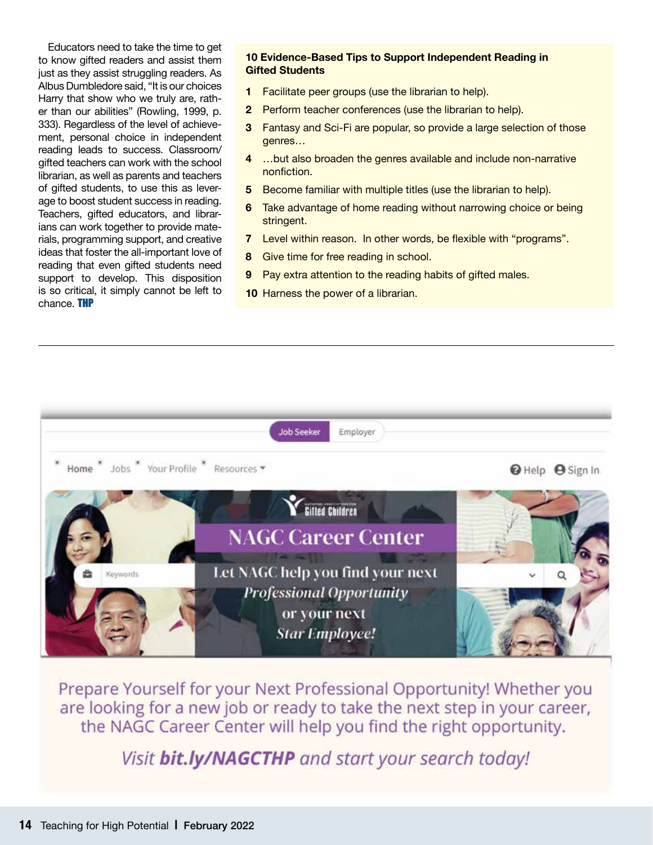Educators need to take the time to get to know gifted readers and assist them just as they assist struggling readers. As Albus Dumbledore said, "It is our choices Harry that show who we truly are, rather than our abilities" (Rowling, 1999, p. 333). Regardless of the level of achievement, personal choice in independent reading leads to success. Classroom/ gifted teachers can work with the school librarian, as well as parents and teachers of gifted students, to use this as leverage to boost student success in reading. Teachers, gifted educators, and librarians can work together to provide materials, programming support, and creative ideas that foster the all-important love of reading that even gifted students need support to develop. This disposition is so critical, it simply cannot be left to chance. THP

### **10 Evidence-Based Tips to Support Independent Reading in Gifted Students**

- **1** Facilitate peer groups (use the librarian to help).
- **2** Perform teacher conferences (use the librarian to help).
- **3** Fantasy and Sci-Fi are popular, so provide a large selection of those genres…
- **4** …but also broaden the genres available and include non-narrative nonfiction.
- **5** Become familiar with multiple titles (use the librarian to help).
- **6** Take advantage of home reading without narrowing choice or being stringent.
- **7** Level within reason. In other words, be flexible with "programs".
- **8** Give time for free reading in school.
- **9** Pay extra attention to the reading habits of gifted males.
- **10** Harness the power of a librarian.



Prepare Yourself for your Next Professional Opportunity! Whether you are looking for a new job or ready to take the next step in your career, the NAGC Career Center will help you find the right opportunity.

Visit bit.ly/NAGCTHP and start your search today!